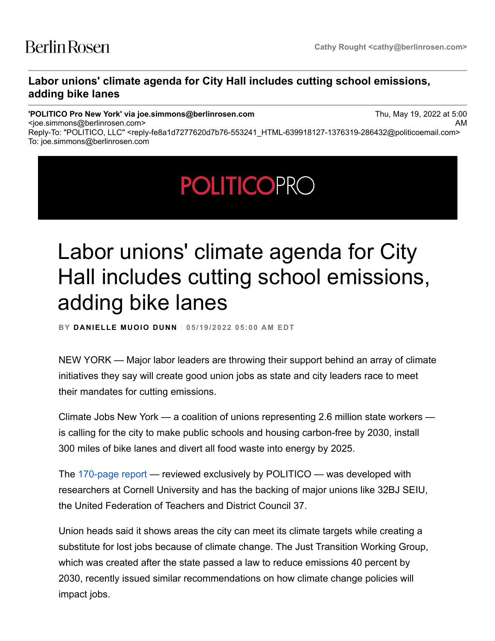<joe.simmons@berlinrosen.com>

## **Labor unions' climate agenda for City Hall includes cutting school emissions, adding bike lanes**

## **'POLITICO Pro New York' via joe.simmons@berlinrosen.com**

Thu, May 19, 2022 at 5:00 AM

Reply-To: "POLITICO, LLC" <reply-fe8a1d7277620d7b76-553241\_HTML-639918127-1376319-286432@politicoemail.com> To: joe.simmons@berlinrosen.com

## **POLITICOPRO**

## Labor unions' climate agenda for City Hall includes cutting school emissions, adding bike lanes

**BY DANIELLE MUOIO DUNN** | **05/19/2022 05:00 AM EDT**

NEW YORK — Major labor leaders are throwing their support behind an array of climate initiatives they say will create good union jobs as state and city leaders race to meet their mandates for cutting emissions.

Climate Jobs New York — a coalition of unions representing 2.6 million state workers is calling for the city to make public schools and housing carbon-free by 2030, install 300 miles of bike lanes and divert all food waste into energy by 2025.

The [170-page report](https://subscriber.politicopro.com/f/?id=00000180-d8df-d1a7-abf1-d9ffed060000&source=email) — reviewed exclusively by POLITICO — was developed with researchers at Cornell University and has the backing of major unions like 32BJ SEIU, the United Federation of Teachers and District Council 37.

Union heads said it shows areas the city can meet its climate targets while creating a substitute for lost jobs because of climate change. The Just Transition Working Group, which was created after the state passed a law to reduce emissions 40 percent by 2030, recently issued similar recommendations on how climate change policies will impact jobs.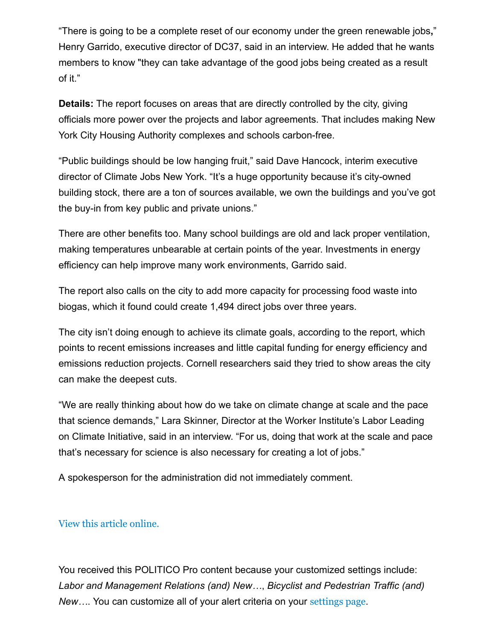"There is going to be a complete reset of our economy under the green renewable jobs**,**" Henry Garrido, executive director of DC37, said in an interview. He added that he wants members to know "they can take advantage of the good jobs being created as a result of it."

**Details:** The report focuses on areas that are directly controlled by the city, giving officials more power over the projects and labor agreements. That includes making New York City Housing Authority complexes and schools carbon-free.

"Public buildings should be low hanging fruit," said Dave Hancock, interim executive director of Climate Jobs New York. "It's a huge opportunity because it's city-owned building stock, there are a ton of sources available, we own the buildings and you've got the buy-in from key public and private unions."

There are other benefits too. Many school buildings are old and lack proper ventilation, making temperatures unbearable at certain points of the year. Investments in energy efficiency can help improve many work environments, Garrido said.

The report also calls on the city to add more capacity for processing food waste into biogas, which it found could create 1,494 direct jobs over three years.

The city isn't doing enough to achieve its climate goals, according to the report, which points to recent emissions increases and little capital funding for energy efficiency and emissions reduction projects. Cornell researchers said they tried to show areas the city can make the deepest cuts.

"We are really thinking about how do we take on climate change at scale and the pace that science demands," Lara Skinner, Director at the Worker Institute's Labor Leading on Climate Initiative, said in an interview. "For us, doing that work at the scale and pace that's necessary for science is also necessary for creating a lot of jobs."

A spokesperson for the administration did not immediately comment.

[View this article online.](https://subscriber.politicopro.com/article/2022/05/labor-unions-climate-agenda-for-city-hall-includes-cutting-school-emissions-adding-bike-lanes-00033533?source=email)

You received this POLITICO Pro content because your customized settings include: *Labor and Management Relations (and) New…*, *Bicyclist and Pedestrian Traffic (and) New…*. You can customize all of your alert criteria on your [settings page](https://subscriber.politicopro.com/settings?source=email).